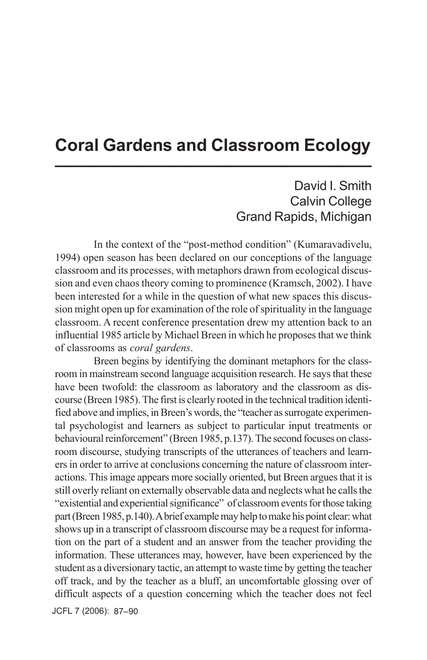## **Coral Gardens and Classroom Ecology \_\_\_\_\_\_\_\_\_\_\_\_\_\_\_\_\_\_\_\_\_\_\_\_\_\_\_\_\_\_\_\_\_**

## David I. Smith Calvin College Grand Rapids, Michigan

In the context of the "post-method condition" (Kumaravadivelu, 1994) open season has been declared on our conceptions of the language classroom and its processes, with metaphors drawn from ecological discussion and even chaos theory coming to prominence (Kramsch, 2002). I have been interested for a while in the question of what new spaces this discussion might open up for examination of the role of spirituality in the language classroom. A recent conference presentation drew my attention back to an influential 1985 article by Michael Breen in which he proposes that we think of classrooms as *coral gardens*.

Breen begins by identifying the dominant metaphors for the classroom in mainstream second language acquisition research. He says that these have been twofold: the classroom as laboratory and the classroom as discourse (Breen 1985). The first is clearly rooted in the technical tradition identified above and implies, in Breen's words, the "teacher as surrogate experimental psychologist and learners as subject to particular input treatments or behavioural reinforcement" (Breen 1985, p.137). The second focuses on classroom discourse, studying transcripts of the utterances of teachers and learners in order to arrive at conclusions concerning the nature of classroom interactions. This image appears more socially oriented, but Breen argues that it is still overly reliant on externally observable data and neglects what he calls the "existential and experiential significance" of classroom events for those taking part (Breen 1985, p.140). A brief example may help to make his point clear: what shows up in a transcript of classroom discourse may be a request for information on the part of a student and an answer from the teacher providing the information. These utterances may, however, have been experienced by the student as a diversionary tactic, an attempt to waste time by getting the teacher off track, and by the teacher as a bluff, an uncomfortable glossing over of difficult aspects of a question concerning which the teacher does not feel

JCFL 7 (2006): 87–90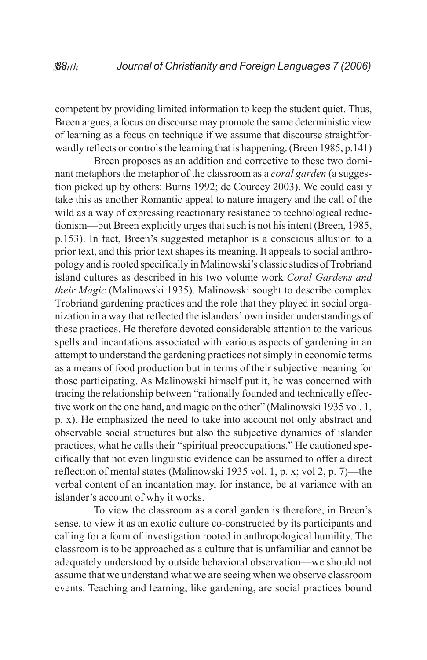competent by providing limited information to keep the student quiet. Thus, Breen argues, a focus on discourse may promote the same deterministic view of learning as a focus on technique if we assume that discourse straightforwardly reflects or controls the learning that is happening. (Breen 1985, p.141)

Breen proposes as an addition and corrective to these two dominant metaphors the metaphor of the classroom as a *coral garden* (a suggestion picked up by others: Burns 1992; de Courcey 2003). We could easily take this as another Romantic appeal to nature imagery and the call of the wild as a way of expressing reactionary resistance to technological reductionism—but Breen explicitly urges that such is not his intent (Breen, 1985, p.153). In fact, Breen's suggested metaphor is a conscious allusion to a prior text, and this prior text shapes its meaning. It appeals to social anthropology and is rooted specifically in Malinowski's classic studies of Trobriand island cultures as described in his two volume work *Coral Gardens and their Magic* (Malinowski 1935). Malinowski sought to describe complex Trobriand gardening practices and the role that they played in social organization in a way that reflected the islanders' own insider understandings of these practices. He therefore devoted considerable attention to the various spells and incantations associated with various aspects of gardening in an attempt to understand the gardening practices not simply in economic terms as a means of food production but in terms of their subjective meaning for those participating. As Malinowski himself put it, he was concerned with tracing the relationship between "rationally founded and technically effective work on the one hand, and magic on the other" (Malinowski 1935 vol. 1, p. x). He emphasized the need to take into account not only abstract and observable social structures but also the subjective dynamics of islander practices, what he calls their "spiritual preoccupations." He cautioned specifically that not even linguistic evidence can be assumed to offer a direct reflection of mental states (Malinowski 1935 vol. 1, p. x; vol 2, p. 7)—the verbal content of an incantation may, for instance, be at variance with an islander's account of why it works.

To view the classroom as a coral garden is therefore, in Breen's sense, to view it as an exotic culture co-constructed by its participants and calling for a form of investigation rooted in anthropological humility. The classroom is to be approached as a culture that is unfamiliar and cannot be adequately understood by outside behavioral observation—we should not assume that we understand what we are seeing when we observe classroom events. Teaching and learning, like gardening, are social practices bound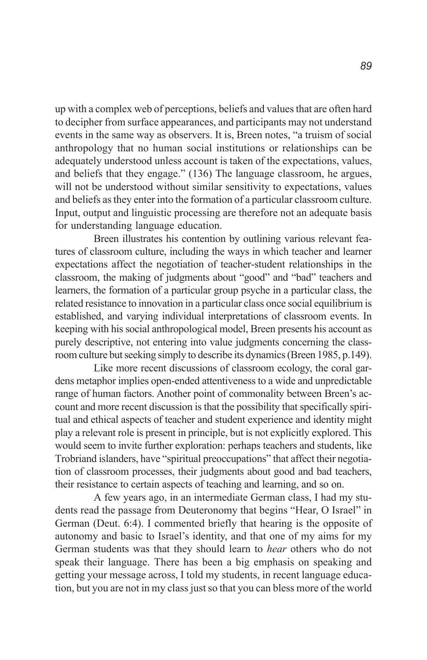up with a complex web of perceptions, beliefs and values that are often hard to decipher from surface appearances, and participants may not understand events in the same way as observers. It is, Breen notes, "a truism of social anthropology that no human social institutions or relationships can be adequately understood unless account is taken of the expectations, values, and beliefs that they engage." (136) The language classroom, he argues, will not be understood without similar sensitivity to expectations, values and beliefs as they enter into the formation of a particular classroom culture. Input, output and linguistic processing are therefore not an adequate basis for understanding language education.

Breen illustrates his contention by outlining various relevant features of classroom culture, including the ways in which teacher and learner expectations affect the negotiation of teacher-student relationships in the classroom, the making of judgments about "good" and "bad" teachers and learners, the formation of a particular group psyche in a particular class, the related resistance to innovation in a particular class once social equilibrium is established, and varying individual interpretations of classroom events. In keeping with his social anthropological model, Breen presents his account as purely descriptive, not entering into value judgments concerning the classroom culture but seeking simply to describe its dynamics (Breen 1985, p.149).

Like more recent discussions of classroom ecology, the coral gardens metaphor implies open-ended attentiveness to a wide and unpredictable range of human factors. Another point of commonality between Breen's account and more recent discussion is that the possibility that specifically spiritual and ethical aspects of teacher and student experience and identity might play a relevant role is present in principle, but is not explicitly explored. This would seem to invite further exploration: perhaps teachers and students, like Trobriand islanders, have "spiritual preoccupations" that affect their negotiation of classroom processes, their judgments about good and bad teachers, their resistance to certain aspects of teaching and learning, and so on.

A few years ago, in an intermediate German class, I had my students read the passage from Deuteronomy that begins "Hear, O Israel" in German (Deut. 6:4). I commented briefly that hearing is the opposite of autonomy and basic to Israel's identity, and that one of my aims for my German students was that they should learn to *hear* others who do not speak their language. There has been a big emphasis on speaking and getting your message across, I told my students, in recent language education, but you are not in my class just so that you can bless more of the world